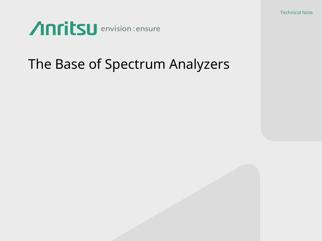Technical Note



## The Base of Spectrum Analyzers

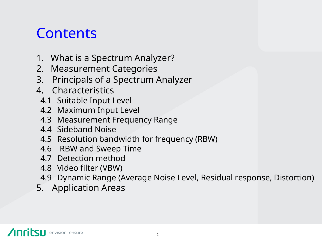## **Contents**

- 1. What is a Spectrum Analyzer?
- 2. Measurement Categories
- 3. Principals of a Spectrum Analyzer
- 4. Characteristics
	- 4.1 Suitable Input Level
	- 4.2 Maximum Input Level
	- 4.3 Measurement Frequency Range
	- 4.4 Sideband Noise
	- 4.5 Resolution bandwidth for frequency (RBW)
	- 4.6 RBW and Sweep Time
	- 4.7 Detection method
	- 4.8 Video filter (VBW)
- 4.9 Dynamic Range (Average Noise Level, Residual response, Distortion)
- 5. Application Areas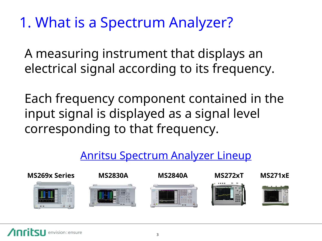# 1. What is a Spectrum Analyzer?

A measuring instrument that displays an electrical signal according to its frequency.

Each frequency component contained in the input signal is displayed as a signal level corresponding to that frequency.

#### Anritsu Spectrum Analyzer Lineup

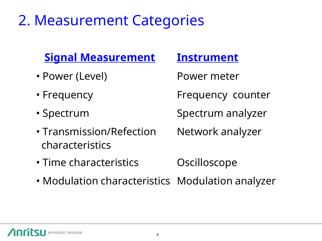## 2. Measurement Categories

#### **Signal Measurement Instrument**

- Power (Level) Power meter
- 
- 
- Transmission/Refection Network analyzer characteristics

• Frequency **Frequency counter** 

• Spectrum Spectrum analyzer

- Time characteristics **Canadia** Oscilloscope
- Modulation characteristics Modulation analyzer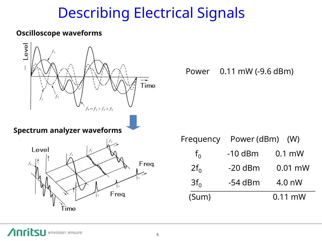## Describing Electrical Signals

#### **Oscilloscope waveforms**

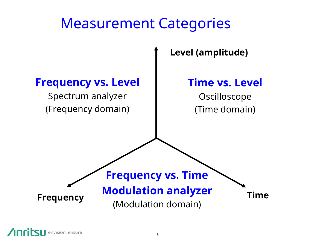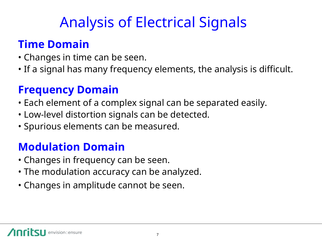# Analysis of Electrical Signals

#### **Time Domain**

- Changes in time can be seen.
- If a signal has many frequency elements, the analysis is difficult.

### **Frequency Domain**

- Each element of a complex signal can be separated easily.
- Low-level distortion signals can be detected.
- Spurious elements can be measured.

## **Modulation Domain**

- Changes in frequency can be seen.
- The modulation accuracy can be analyzed.
- Changes in amplitude cannot be seen.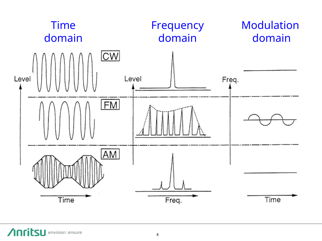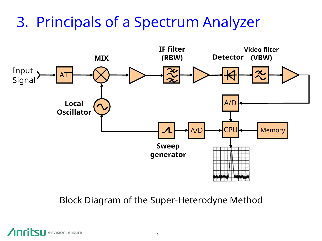# 3. Principals of a Spectrum Analyzer



Block Diagram of the Super-Heterodyne Method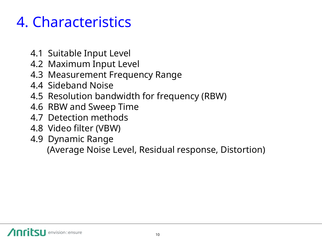# 4. Characteristics

- 4.1 Suitable Input Level
- 4.2 Maximum Input Level
- 4.3 Measurement Frequency Range
- 4.4 Sideband Noise
- 4.5 Resolution bandwidth for frequency (RBW)
- 4.6 RBW and Sweep Time
- 4.7 Detection methods
- 4.8 Video filter (VBW)
- 4.9 Dynamic Range (Average Noise Level, Residual response, Distortion)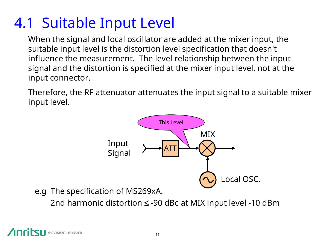# 4.1 Suitable Input Level

When the signal and local oscillator are added at the mixer input, the suitable input level is the distortion level specification that doesn't influence the measurement. The level relationship between the input signal and the distortion is specified at the mixer input level, not at the input connector.

Therefore, the RF attenuator attenuates the input signal to a suitable mixer input level.



e.g The specification of MS269xA.

2nd harmonic distortion  $\leq$  -90 dBc at MIX input level -10 dBm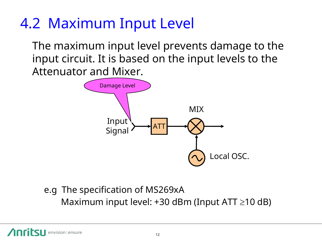## 4.2 Maximum Input Level

The maximum input level prevents damage to the input circuit. It is based on the input levels to the Attenuator and Mixer.



#### Maximum input level:  $+30$  dBm (Input ATT  $\geq$ 10 dB) e.g The specification of MS269xA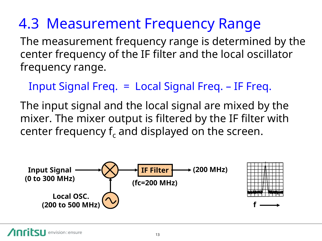# 4.3 Measurement Frequency Range

The measurement frequency range is determined by the center frequency of the IF filter and the local oscillator frequency range.

Input Signal Freq. = Local Signal Freq. – IF Freq.

The input signal and the local signal are mixed by the mixer. The mixer output is filtered by the IF filter with center frequency  $f_c$  and displayed on the screen.

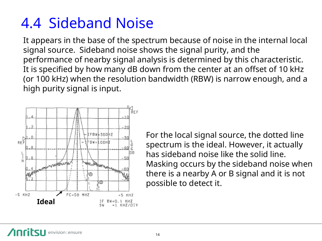# 4.4 Sideband Noise

It appears in the base of the spectrum because of noise in the internal local signal source. Sideband noise shows the signal purity, and the performance of nearby signal analysis is determined by this characteristic. It is specified by how many dB down from the center at an offset of 10 kHz (or 100 kHz) when the resolution bandwidth (RBW) is narrow enough, and a high purity signal is input.



For the local signal source, the dotted line spectrum is the ideal. However, it actually has sideband noise like the solid line. Masking occurs by the sideband noise when there is a nearby A or B signal and it is not possible to detect it.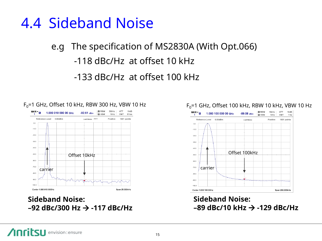## 4.4 Sideband Noise

#### e.g The specification of MS2830A (With Opt.066)

#### -118 dBc/Hz at offset 10 kHz

#### -133 dBc/Hz at offset 100 kHz



#### **Sideband Noise: –92 dBc/300 Hz -117 dBc/Hz**



#### **Sideband Noise: –89 dBc/10 kHz -129 dBc/Hz**

#### $F_0$ =1 GHz, Offset 10 kHz, RBW 300 Hz, VBW 10 Hz F<sub>0</sub>=1 GHz, Offset 100 kHz, RBW 10 kHz, VBW 10 Hz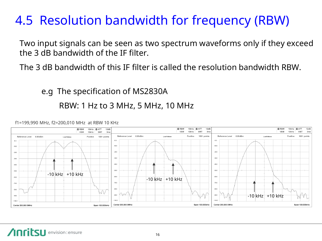## 4.5 Resolution bandwidth for frequency (RBW)

Two input signals can be seen as two spectrum waveforms only if they exceed the 3 dB bandwidth of the IF filter.

The 3 dB bandwidth of this IF filter is called the resolution bandwidth RBW.

e.g The specification of MS2830A RBW: 1 Hz to 3 MHz, 5 MHz, 10 MHz



f1=199,990 MHz, f2=200,010 MHz at RBW 10 KHz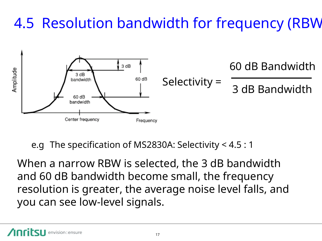# 4.5 Resolution bandwidth for frequency (RBW)



e.g The specification of MS2830A: Selectivity < 4.5 : 1

When a narrow RBW is selected, the 3 dB bandwidth and 60 dB bandwidth become small, the frequency resolution is greater, the average noise level falls, and you can see low-level signals.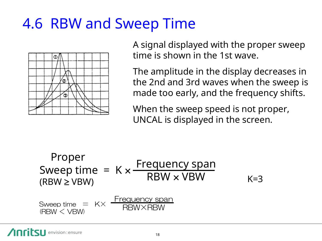# 4.6 RBW and Sweep Time



A signal displayed with the proper sweep time is shown in the 1st wave.

The amplitude in the display decreases in the 2nd and 3rd waves when the sweep is made too early, and the frequency shifts.

When the sweep speed is not proper, UNCAL is displayed in the screen.

| Proper                                                   |     |
|----------------------------------------------------------|-----|
| Sweep time = K × $\frac{Frequency span}{RBW \times VBW}$ | K=3 |
| Sweep time = K × $\frac{Frequency span}{RBW \times RBW}$ | K=3 |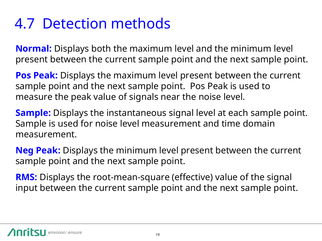# 4.7 Detection methods

**Normal:** Displays both the maximum level and the minimum level present between the current sample point and the next sample point.

**Pos Peak:** Displays the maximum level present between the current sample point and the next sample point. Pos Peak is used to measure the peak value of signals near the noise level.

**Sample:** Displays the instantaneous signal level at each sample point. Sample is used for noise level measurement and time domain measurement.

**Neg Peak:** Displays the minimum level present between the current sample point and the next sample point.

**RMS:** Displays the root-mean-square (effective) value of the signal input between the current sample point and the next sample point.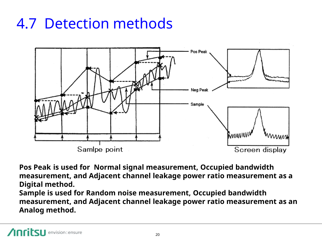# 4.7 Detection methods



**Pos Peak is used for Normal signal measurement, Occupied bandwidth measurement, and Adjacent channel leakage power ratio measurement as a Digital method.**

**Sample is used for Random noise measurement, Occupied bandwidth measurement, and Adjacent channel leakage power ratio measurement as an Analog method.**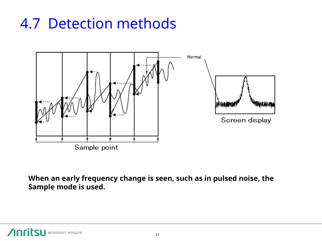# 4.7 Detection methods



**When an early frequency change is seen, such as in pulsed noise, the Sample mode is used.**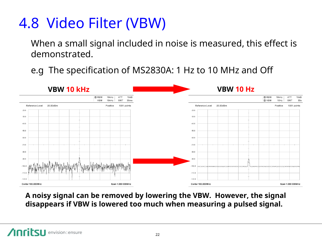# 4.8 Video Filter (VBW)

When a small signal included in noise is measured, this effect is demonstrated.

e.g The specification of MS2830A: 1 Hz to 10 MHz and Off



**A noisy signal can be removed by lowering the VBW. However, the signal disappears if VBW is lowered too much when measuring a pulsed signal.**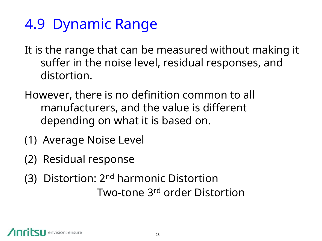# 4.9 Dynamic Range

- It is the range that can be measured without making it suffer in the noise level, residual responses, and distortion.
- However, there is no definition common to all manufacturers, and the value is different depending on what it is based on.
- (1) Average Noise Level
- (2) Residual response
- (3) Distortion: 2nd harmonic Distortion Two-tone 3rd order Distortion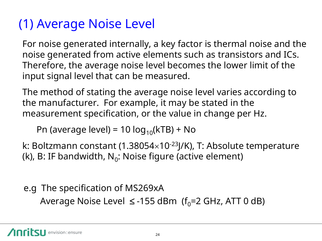## (1) Average Noise Level

For noise generated internally, a key factor is thermal noise and the noise generated from active elements such as transistors and ICs. Therefore, the average noise level becomes the lower limit of the input signal level that can be measured.

The method of stating the average noise level varies according to the manufacturer. For example, it may be stated in the measurement specification, or the value in change per Hz.

Pn (average level) = 10  $log_{10}(kTB)$  + No

k: Boltzmann constant (1.38054 $\times$ 10<sup>-23</sup>J/K), T: Absolute temperature (k), B: IF bandwidth, N $_{\rm 0}$ : Noise figure (active element)

e.g The specification of MS269xA Average Noise Level  $\le$  -155 dBm (f<sub>0</sub>=2 GHz, ATT 0 dB)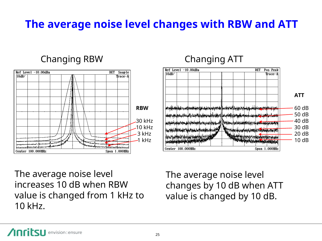### **The average noise level changes with RBW and ATT**

 $Ref$  Level  $-10.00dB$ m

<u>ألوام بوديغي بالمالي الملفوس المعادري المدومين المدادية مسموط بها بالمال المراجعين مدادا</u>

أباره بورابر فسأبطأ وبسارة بالمسارير والمسار أستاذ والمستعمل أنساء والمستعمل **The State Associate** Supply of Center 100.000MHz

 $10dB/$ 

#### Changing RBW Changing ATT



The average noise level changes by 10 dB when ATT value is changed by 10 dB.

**ATT**

DET Pos Peak

Span 1.000MHz

Trace-A

60 dB 50 dB 40 dB 30 dB 20 dB 10 dB

The average noise level increases 10 dB when RBW value is changed from 1 kHz to

10 kHz.

<u>|w#wddflwddyddwddauddwddwdwddyddwddauddwddauddwddaudddwddddddwddauddwddwddwddwddwddauddwddauddwdd</u>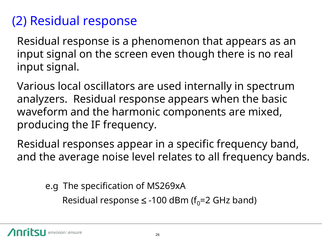## (2) Residual response

Residual response is a phenomenon that appears as an input signal on the screen even though there is no real input signal.

Various local oscillators are used internally in spectrum analyzers. Residual response appears when the basic waveform and the harmonic components are mixed, producing the IF frequency.

Residual responses appear in a specific frequency band, and the average noise level relates to all frequency bands.

e.g The specification of MS269xA

Residual response  $\leq$  -100 dBm (f<sub>0</sub>=2 GHz band)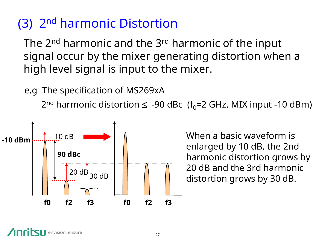## (3) 2nd harmonic Distortion

The 2<sup>nd</sup> harmonic and the 3<sup>rd</sup> harmonic of the input signal occur by the mixer generating distortion when a high level signal is input to the mixer.

e.g The specification of MS269xA

 $2^{nd}$  harmonic distortion  $\leq$  -90 dBc (f<sub>0</sub>=2 GHz, MIX input -10 dBm)



When a basic waveform is enlarged by 10 dB, the 2nd harmonic distortion grows by 20 dB and the 3rd harmonic distortion grows by 30 dB.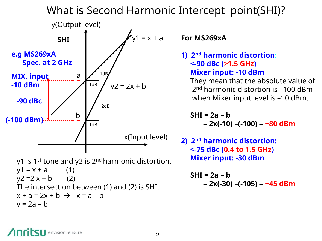#### What is Second Harmonic Intercept point(SHI)?



$$
x + a = 2x + b \rightarrow x = a - b
$$
  
y = 2a - b

#### **For MS269xA**

**1) 2nd harmonic distortion: <-90 dBc (1.5 GHz) Mixer input: -10 dBm**

 They mean that the absolute value of 2 nd harmonic distortion is –100 dBm when Mixer input level is –10 dBm.

 **SHI = 2a – b = 2x(-10) –(-100) = +80 dBm**

**2) 2nd harmonic distortion: <-75 dBc (0.4 to 1.5 GHz) Mixer input: -30 dBm**

 **SHI = 2a – b = 2x(-30) –(-105) = +45 dBm**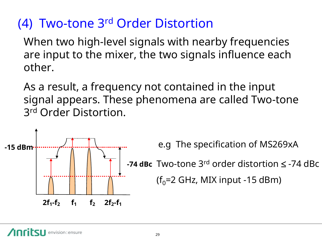## (4) Two-tone 3rd Order Distortion

When two high-level signals with nearby frequencies are input to the mixer, the two signals influence each other.

As a result, a frequency not contained in the input signal appears. These phenomena are called Two-tone 3 rd Order Distortion.



e.g The specification of MS269xA

**−74 dBc** Two-tone 3<sup>rd</sup> order distortion ≤ −74 dBc

 $(f<sub>0</sub>=2 GHz, MIX input -15 dB)$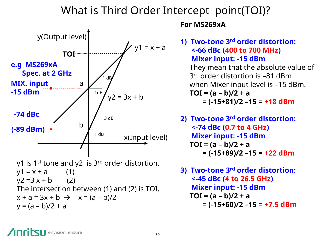#### What is Third Order Intercept point(TOI)?



#### **For MS269xA**

**1) Two-tone 3rd order distortion: <-66 dBc (400 to 700 MHz) Mixer input: -15 dBm** They mean that the absolute value of 3 rd order distortion is –81 dBm when Mixer input level is –15 dBm.  **TOI = (a – b)/2 + a = (-15+81)/2 –15 = +18 dBm**

**2) Two-tone 3rd order distortion: <-74 dBc (0.7 to 4 GHz) Mixer input: -15 dBm**  $TOI = (a - b)/2 + a$  **= (-15+89)/2 –15 = +22 dBm**

**3) Two-tone 3rd order distortion: <-45 dBc (4 to 26.5 GHz) Mixer input: -15 dBm TOI = (a – b)/2 + a = (-15+60)/2 –15 = +7.5 dBm**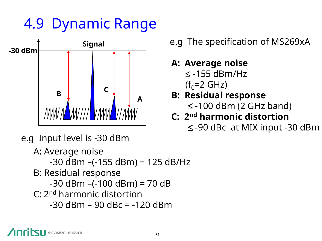## 4.9 Dynamic Range



- e.g Input level is -30 dBm
	- A: Average noise -30 dBm –(-155 dBm) = 125 dB/Hz B: Residual response  $-30$  dBm  $-(-100$  dBm $) = 70$  dB C: 2<sup>nd</sup> harmonic distortion -30 dBm – 90 dBc = -120 dBm

#### **Signal** e.g The specification of MS269xA

#### **A: Average noise**

- $\le$  -155 dBm/Hz  $(f_0=2 \text{ GHz})$
- **B: Residual response**  $\le$  -100 dBm (2 GHz band)

#### **C: 2 nd harmonic distortion**

 $\le$  -90 dBc at MIX input -30 dBm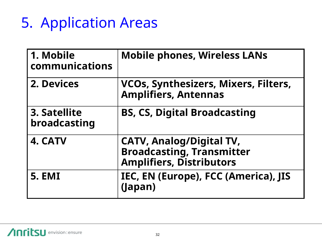# 5. Application Areas

| 1. Mobile<br>communications  | <b>Mobile phones, Wireless LANs</b>                                                                    |
|------------------------------|--------------------------------------------------------------------------------------------------------|
| 2. Devices                   | VCOs, Synthesizers, Mixers, Filters,<br><b>Amplifiers, Antennas</b>                                    |
| 3. Satellite<br>broadcasting | <b>BS, CS, Digital Broadcasting</b>                                                                    |
| 4. CATV                      | <b>CATV, Analog/Digital TV,</b><br><b>Broadcasting, Transmitter</b><br><b>Amplifiers, Distributors</b> |
| <b>5. EMI</b>                | IEC, EN (Europe), FCC (America), JIS<br>(Japan)                                                        |